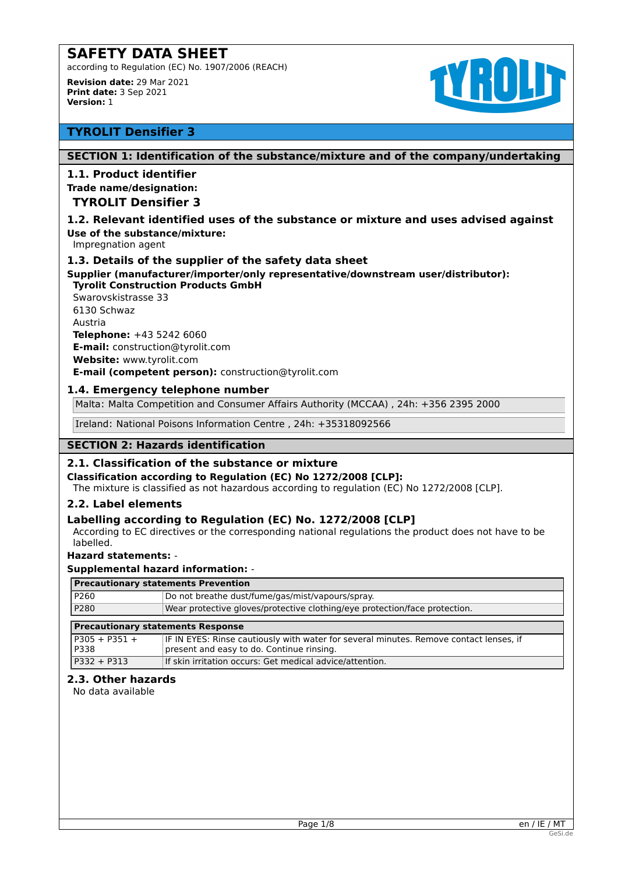according to Regulation (EC) No. 1907/2006 (REACH)

**Revision date:** 29 Mar 2021 **Print date:** 3 Sep 2021 **Version:** 1



# **TYROLIT Densifier 3**

# **SECTION 1: Identification of the substance/mixture and of the company/undertaking**

# **1.1. Product identifier**

# **Trade name/designation:**

# **TYROLIT Densifier 3**

### **1.2. Relevant identified uses of the substance or mixture and uses advised against Use of the substance/mixture:**

Impregnation agent

# **1.3. Details of the supplier of the safety data sheet**

**Supplier (manufacturer/importer/only representative/downstream user/distributor): Tyrolit Construction Products GmbH** 

Swarovskistrasse 33 6130 Schwaz Austria **Telephone:** +43 5242 6060 **E-mail:** construction@tyrolit.com **Website:** www.tyrolit.com **E-mail (competent person):** construction@tyrolit.com

# **1.4. Emergency telephone number**

Malta: Malta Competition and Consumer Affairs Authority (MCCAA) , 24h: +356 2395 2000

Ireland: National Poisons Information Centre , 24h: +35318092566

# **SECTION 2: Hazards identification**

### **2.1. Classification of the substance or mixture**

**Classification according to Regulation (EC) No 1272/2008 [CLP]:**

The mixture is classified as not hazardous according to regulation (EC) No 1272/2008 [CLP].

### **2.2. Label elements**

# **Labelling according to Regulation (EC) No. 1272/2008 [CLP]**

According to EC directives or the corresponding national regulations the product does not have to be labelled.

### **Hazard statements:** -

### **Supplemental hazard information:** -

| <b>Precautionary statements Prevention</b> |                                                                                                                                     |  |  |
|--------------------------------------------|-------------------------------------------------------------------------------------------------------------------------------------|--|--|
| P260                                       | Do not breathe dust/fume/gas/mist/vapours/spray.                                                                                    |  |  |
| P280                                       | Wear protective gloves/protective clothing/eye protection/face protection.                                                          |  |  |
|                                            |                                                                                                                                     |  |  |
|                                            |                                                                                                                                     |  |  |
|                                            | <b>Precautionary statements Response</b>                                                                                            |  |  |
| l P305 + P351 +<br>P338                    | IF IN EYES: Rinse cautiously with water for several minutes. Remove contact lenses, if<br>present and easy to do. Continue rinsing. |  |  |

### **2.3. Other hazards**

No data available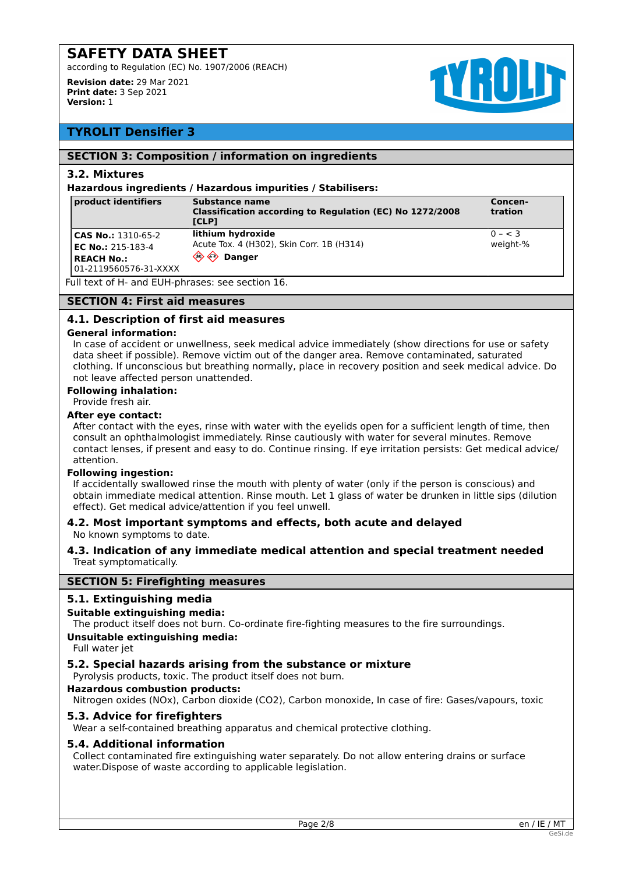according to Regulation (EC) No. 1907/2006 (REACH)

**Revision date:** 29 Mar 2021 **Print date:** 3 Sep 2021 **Version:** 1



# **TYROLIT Densifier 3**

### **SECTION 3: Composition / information on ingredients**

### **3.2. Mixtures**

### **Hazardous ingredients / Hazardous impurities / Stabilisers:**

| product identifiers                                                                                 | Substance name<br>Classification according to Regulation (EC) No 1272/2008<br><b>ICLPT</b> | Concen-<br>tration  |
|-----------------------------------------------------------------------------------------------------|--------------------------------------------------------------------------------------------|---------------------|
| <b>CAS No.: 1310-65-2</b><br><b>EC No.: 215-183-4</b><br><b>REACH No.:</b><br>01-2119560576-31-XXXX | lithium hydroxide<br>Acute Tox. 4 (H302), Skin Corr. 1B (H314)<br><b>Danger</b>            | $0 - 3$<br>weight-% |

Full text of H- and EUH-phrases: see section 16.

### **SECTION 4: First aid measures**

# **4.1. Description of first aid measures**

### **General information:**

In case of accident or unwellness, seek medical advice immediately (show directions for use or safety data sheet if possible). Remove victim out of the danger area. Remove contaminated, saturated clothing. If unconscious but breathing normally, place in recovery position and seek medical advice. Do not leave affected person unattended.

# **Following inhalation:**

# Provide fresh air.

# **After eye contact:**

After contact with the eyes, rinse with water with the eyelids open for a sufficient length of time, then consult an ophthalmologist immediately. Rinse cautiously with water for several minutes. Remove contact lenses, if present and easy to do. Continue rinsing. If eye irritation persists: Get medical advice/ attention.

### **Following ingestion:**

If accidentally swallowed rinse the mouth with plenty of water (only if the person is conscious) and obtain immediate medical attention. Rinse mouth. Let 1 glass of water be drunken in little sips (dilution effect). Get medical advice/attention if you feel unwell.

### **4.2. Most important symptoms and effects, both acute and delayed** No known symptoms to date.

# **4.3. Indication of any immediate medical attention and special treatment needed** Treat symptomatically.

### **SECTION 5: Firefighting measures**

# **5.1. Extinguishing media**

### **Suitable extinguishing media:**

The product itself does not burn. Co-ordinate fire-fighting measures to the fire surroundings.

# **Unsuitable extinguishing media:**

Full water jet

### **5.2. Special hazards arising from the substance or mixture**

Pyrolysis products, toxic. The product itself does not burn.

**Hazardous combustion products:**

Nitrogen oxides (NOx), Carbon dioxide (CO2), Carbon monoxide, In case of fire: Gases/vapours, toxic

### **5.3. Advice for firefighters**

Wear a self-contained breathing apparatus and chemical protective clothing.

### **5.4. Additional information**

Collect contaminated fire extinguishing water separately. Do not allow entering drains or surface water.Dispose of waste according to applicable legislation.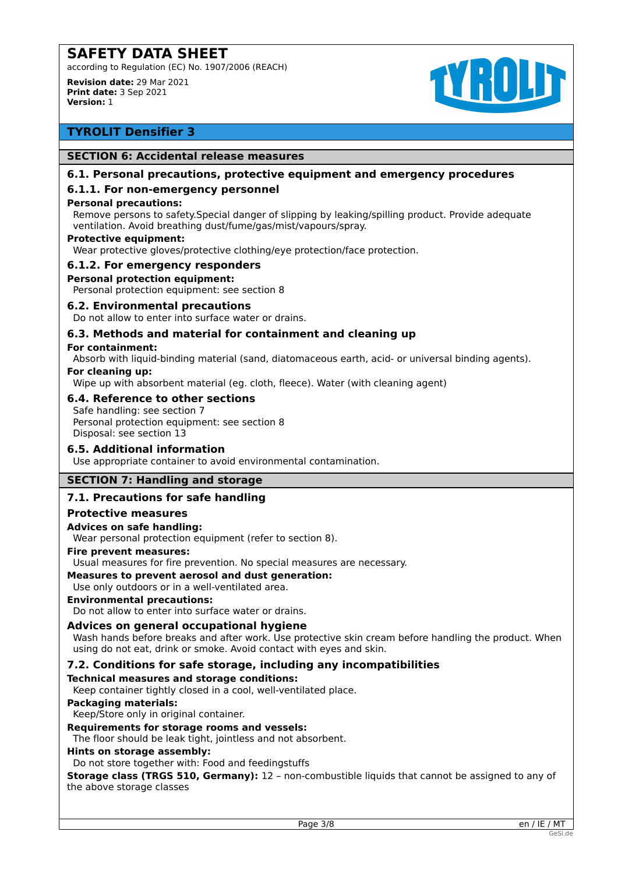according to Regulation (EC) No. 1907/2006 (REACH)

**Revision date:** 29 Mar 2021 **Print date:** 3 Sep 2021 **Version:** 1



# **TYROLIT Densifier 3**

### **SECTION 6: Accidental release measures**

## **6.1. Personal precautions, protective equipment and emergency procedures**

# **6.1.1. For non-emergency personnel**

### **Personal precautions:**

Remove persons to safety.Special danger of slipping by leaking/spilling product. Provide adequate ventilation. Avoid breathing dust/fume/gas/mist/vapours/spray.

### **Protective equipment:**

Wear protective gloves/protective clothing/eye protection/face protection.

### **6.1.2. For emergency responders**

### **Personal protection equipment:**

Personal protection equipment: see section 8

### **6.2. Environmental precautions**

Do not allow to enter into surface water or drains.

# **6.3. Methods and material for containment and cleaning up**

### **For containment:**

Absorb with liquid-binding material (sand, diatomaceous earth, acid- or universal binding agents).

### **For cleaning up:**

Wipe up with absorbent material (eg. cloth, fleece). Water (with cleaning agent)

### **6.4. Reference to other sections**

Safe handling: see section 7 Personal protection equipment: see section 8 Disposal: see section 13

### **6.5. Additional information**

Use appropriate container to avoid environmental contamination.

# **SECTION 7: Handling and storage**

## **7.1. Precautions for safe handling**

### **Protective measures**

### **Advices on safe handling:**

Wear personal protection equipment (refer to section 8).

## **Fire prevent measures:**

Usual measures for fire prevention. No special measures are necessary.

### **Measures to prevent aerosol and dust generation:**

Use only outdoors or in a well-ventilated area.

## **Environmental precautions:**

Do not allow to enter into surface water or drains.

### **Advices on general occupational hygiene**

Wash hands before breaks and after work. Use protective skin cream before handling the product. When using do not eat, drink or smoke. Avoid contact with eyes and skin.

# **7.2. Conditions for safe storage, including any incompatibilities**

### **Technical measures and storage conditions:**

Keep container tightly closed in a cool, well-ventilated place.

# **Packaging materials:**

Keep/Store only in original container.

## **Requirements for storage rooms and vessels:**

The floor should be leak tight, jointless and not absorbent.

#### **Hints on storage assembly:**

Do not store together with: Food and feedingstuffs

**Storage class (TRGS 510, Germany):** 12 - non-combustible liquids that cannot be assigned to any of the above storage classes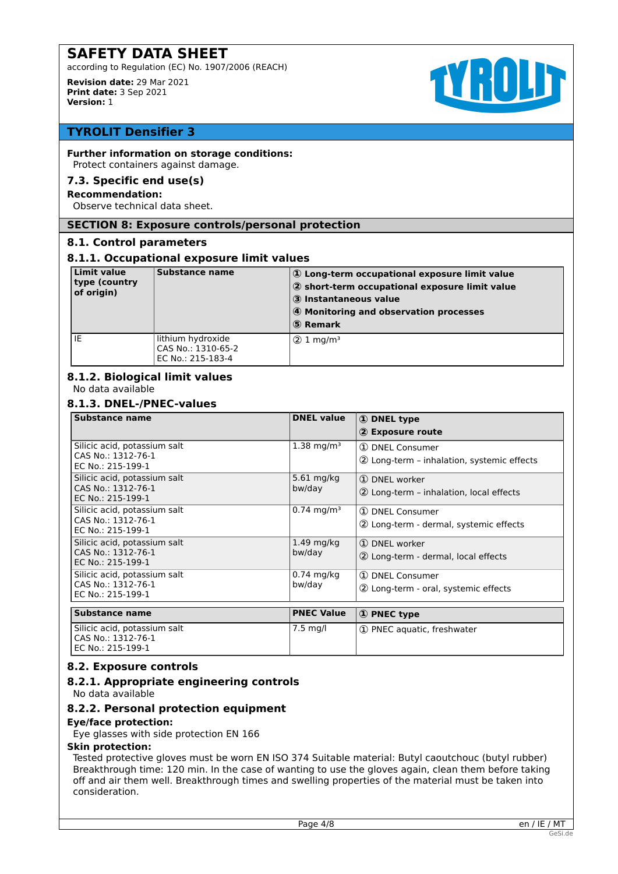according to Regulation (EC) No. 1907/2006 (REACH)

**Revision date:** 29 Mar 2021 **Print date:** 3 Sep 2021 **Version:** 1



# **TYROLIT Densifier 3**

# **Further information on storage conditions:**

Protect containers against damage.

# **7.3. Specific end use(s)**

# **Recommendation:**

Observe technical data sheet.

# **SECTION 8: Exposure controls/personal protection**

# **8.1. Control parameters**

# **8.1.1. Occupational exposure limit values**

| <b>Limit value</b><br>type (country<br>of origin) | Substance name                                               | 1) Long-term occupational exposure limit value<br>2 short-term occupational exposure limit value<br>3 Instantaneous value<br>4 Monitoring and observation processes<br>5 Remark |
|---------------------------------------------------|--------------------------------------------------------------|---------------------------------------------------------------------------------------------------------------------------------------------------------------------------------|
| IE                                                | lithium hydroxide<br>CAS No.: 1310-65-2<br>EC No.: 215-183-4 | $(2)$ 1 mg/m <sup>3</sup>                                                                                                                                                       |

# **8.1.2. Biological limit values**

No data available

# **8.1.3. DNEL-/PNEC-values**

| <b>Substance name</b>                                                   | <b>DNEL value</b>      | <b>1</b> DNEL type<br>2 Exposure route                        |
|-------------------------------------------------------------------------|------------------------|---------------------------------------------------------------|
| Silicic acid, potassium salt<br>CAS No.: 1312-76-1<br>EC No.: 215-199-1 | $1.38 \text{ mg/m}^3$  | 1 DNEL Consumer<br>2 Long-term - inhalation, systemic effects |
| Silicic acid, potassium salt<br>CAS No.: 1312-76-1<br>EC No.: 215-199-1 | 5.61 mg/kg<br>bw/day   | 1 DNEL worker<br>2 Long-term - inhalation, local effects      |
| Silicic acid, potassium salt<br>CAS No.: 1312-76-1<br>EC No.: 215-199-1 | $0.74 \text{ mg/m}^3$  | (1) DNEL Consumer<br>2 Long-term - dermal, systemic effects   |
| Silicic acid, potassium salt<br>CAS No.: 1312-76-1<br>EC No.: 215-199-1 | $1.49$ mg/kg<br>bw/day | 1 DNEL worker<br>2 Long-term - dermal, local effects          |
| Silicic acid, potassium salt<br>CAS No.: 1312-76-1<br>EC No.: 215-199-1 | $0.74$ mg/kg<br>bw/day | 1 DNEL Consumer<br>2 Long-term - oral, systemic effects       |
| <b>Substance name</b>                                                   | <b>PNEC Value</b>      | 1 PNEC type                                                   |
| Silicic acid notassium salt                                             | 7.5 ma/l               | 1 DNEC aquatic frochwator                                     |

| Silicic acid, potassium salt<br>l CAS No.: 1312-76-1<br>l EC No.: 215-199-1 | $7.5 \text{ mg/l}$ | 1 D PNEC aquatic, freshwater |
|-----------------------------------------------------------------------------|--------------------|------------------------------|

# **8.2. Exposure controls**

# **8.2.1. Appropriate engineering controls**

No data available

# **8.2.2. Personal protection equipment**

**Eye/face protection:**

Eye glasses with side protection EN 166

### **Skin protection:**

Tested protective gloves must be worn EN ISO 374 Suitable material: Butyl caoutchouc (butyl rubber) Breakthrough time: 120 min. In the case of wanting to use the gloves again, clean them before taking off and air them well. Breakthrough times and swelling properties of the material must be taken into consideration.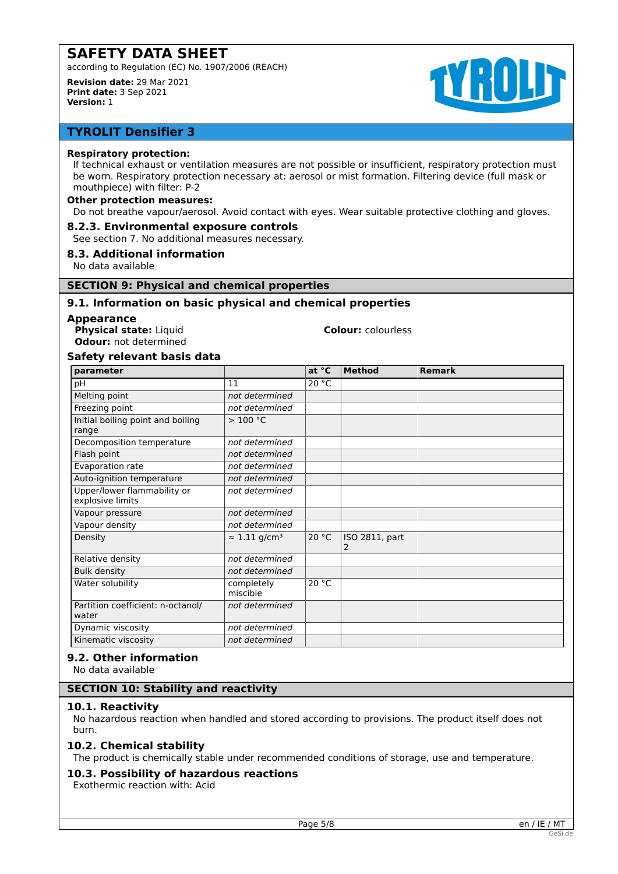according to Regulation (EC) No. 1907/2006 (REACH)

**Revision date:** 29 Mar 2021 **Print date:** 3 Sep 2021 **Version:** 1



# **TYROLIT Densifier 3**

### **Respiratory protection:**

If technical exhaust or ventilation measures are not possible or insufficient, respiratory protection must be worn. Respiratory protection necessary at: aerosol or mist formation. Filtering device (full mask or mouthpiece) with filter: P-2

## **Other protection measures:**

Do not breathe vapour/aerosol. Avoid contact with eyes. Wear suitable protective clothing and gloves.

# **8.2.3. Environmental exposure controls**

See section 7. No additional measures necessary.

# **8.3. Additional information**

No data available

# **SECTION 9: Physical and chemical properties**

# **9.1. Information on basic physical and chemical properties**

### **Appearance**

**Physical state:** Liquid **Colour:** colourless **Odour:** not determined

# **Safety relevant basis data**

| parameter                                       |                                  | at °C | <b>Method</b>       | <b>Remark</b> |
|-------------------------------------------------|----------------------------------|-------|---------------------|---------------|
| рH                                              | 11                               | 20 °C |                     |               |
| Melting point                                   | not determined                   |       |                     |               |
| Freezing point                                  | not determined                   |       |                     |               |
| Initial boiling point and boiling<br>range      | >100 °C                          |       |                     |               |
| Decomposition temperature                       | not determined                   |       |                     |               |
| Flash point                                     | not determined                   |       |                     |               |
| Evaporation rate                                | not determined                   |       |                     |               |
| Auto-ignition temperature                       | not determined                   |       |                     |               |
| Upper/lower flammability or<br>explosive limits | not determined                   |       |                     |               |
| Vapour pressure                                 | not determined                   |       |                     |               |
| Vapour density                                  | not determined                   |       |                     |               |
| Density                                         | $\approx$ 1.11 g/cm <sup>3</sup> | 20 °C | ISO 2811, part<br>2 |               |
| Relative density                                | not determined                   |       |                     |               |
| <b>Bulk density</b>                             | not determined                   |       |                     |               |
| Water solubility                                | completely<br>miscible           | 20 °C |                     |               |
| Partition coefficient: n-octanol/<br>water      | not determined                   |       |                     |               |
| Dynamic viscosity                               | not determined                   |       |                     |               |
| Kinematic viscosity                             | not determined                   |       |                     |               |

# **9.2. Other information**

No data available

## **SECTION 10: Stability and reactivity**

### **10.1. Reactivity**

No hazardous reaction when handled and stored according to provisions. The product itself does not burn.

## **10.2. Chemical stability**

The product is chemically stable under recommended conditions of storage, use and temperature.

### **10.3. Possibility of hazardous reactions**

Exothermic reaction with: Acid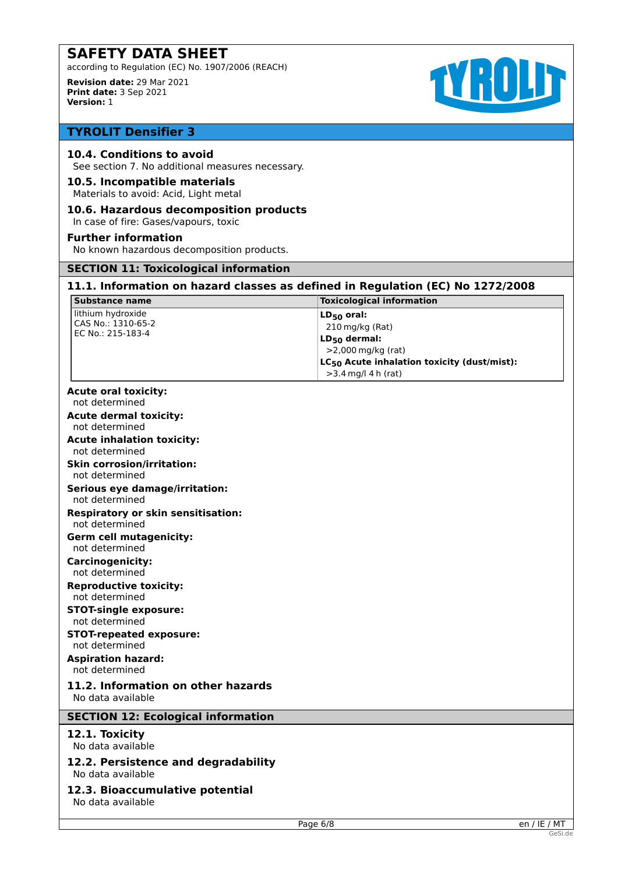according to Regulation (EC) No. 1907/2006 (REACH)

**Revision date:** 29 Mar 2021 **Print date:** 3 Sep 2021 **Version:** 1



# **TYROLIT Densifier 3**

## **10.4. Conditions to avoid**

See section 7. No additional measures necessary.

### **10.5. Incompatible materials**

Materials to avoid: Acid, Light metal

# **10.6. Hazardous decomposition products**

In case of fire: Gases/vapours, toxic

### **Further information**

No known hazardous decomposition products.

# **SECTION 11: Toxicological information**

# **11.1. Information on hazard classes as defined in Regulation (EC) No 1272/2008**

| <b>Substance name</b>                                        | <b>Toxicological information</b>                                                                                                         |
|--------------------------------------------------------------|------------------------------------------------------------------------------------------------------------------------------------------|
| lithium hydroxide<br>CAS No.: 1310-65-2<br>EC No.: 215-183-4 | $LD_{50}$ oral:<br>210 mg/kg (Rat)<br>$LD_{50}$ dermal:<br>>2,000 mg/kg (rat)<br>LC <sub>50</sub> Acute inhalation toxicity (dust/mist): |
|                                                              | $>3.4$ mg/l 4 h (rat)                                                                                                                    |

# **Acute oral toxicity:**

not determined

**Acute dermal toxicity:**

not determined **Acute inhalation toxicity:**

not determined

#### **Skin corrosion/irritation:** not determined

# **Serious eye damage/irritation:**

not determined

#### **Respiratory or skin sensitisation:** not determined

**Germ cell mutagenicity:**

not determined

**Carcinogenicity:** not determined

### **Reproductive toxicity:** not determined

# **STOT-single exposure:**

not determined

#### **STOT-repeated exposure:** not determined

**Aspiration hazard:**

# not determined

# **11.2. Information on other hazards**

No data available

# **SECTION 12: Ecological information**

# **12.1. Toxicity**

No data available

### **12.2. Persistence and degradability** No data available

**12.3. Bioaccumulative potential**

No data available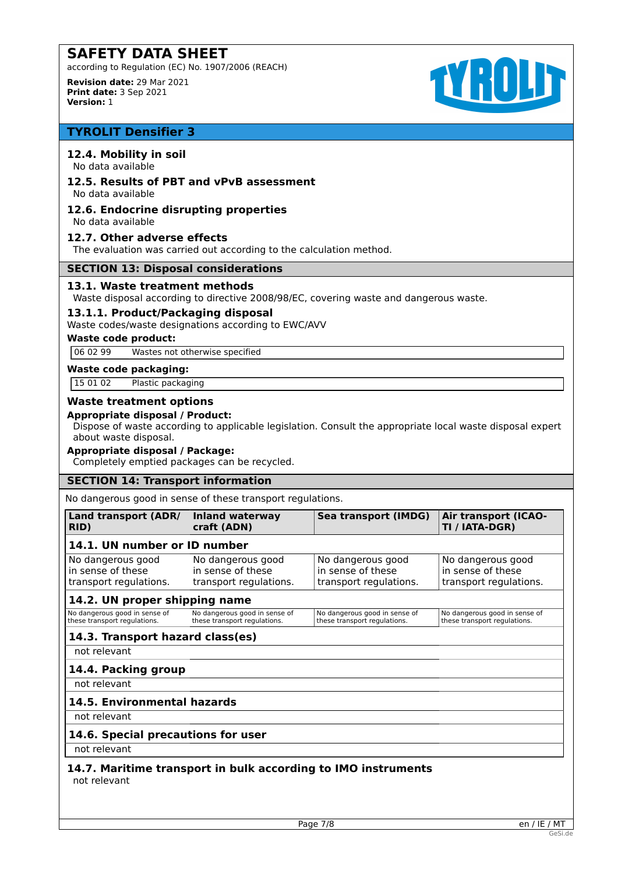according to Regulation (EC) No. 1907/2006 (REACH)

**Revision date:** 29 Mar 2021 **Print date:** 3 Sep 2021 **Version:** 1



# **TYROLIT Densifier 3**

# **12.4. Mobility in soil**

No data available

# **12.5. Results of PBT and vPvB assessment**

No data available

#### **12.6. Endocrine disrupting properties** No data available

**12.7. Other adverse effects**

The evaluation was carried out according to the calculation method.

### **SECTION 13: Disposal considerations**

# **13.1. Waste treatment methods**

Waste disposal according to directive 2008/98/EC, covering waste and dangerous waste.

# **13.1.1. Product/Packaging disposal**

Waste codes/waste designations according to EWC/AVV

## **Waste code product:**

06 02 99 Wastes not otherwise specified

### **Waste code packaging:**

15 01 02 Plastic packaging

# **Waste treatment options**

### **Appropriate disposal / Product:**

Dispose of waste according to applicable legislation. Consult the appropriate local waste disposal expert about waste disposal.

# **Appropriate disposal / Package:**

Completely emptied packages can be recycled.

### **SECTION 14: Transport information**

No dangerous good in sense of these transport regulations.

| Land transport (ADR/<br>RID)                                     | <b>Inland waterway</b><br>craft (ADN)                            | Sea transport (IMDG)                                             | <b>Air transport (ICAO-</b><br>TI / IATA-DGR)                    |
|------------------------------------------------------------------|------------------------------------------------------------------|------------------------------------------------------------------|------------------------------------------------------------------|
| 14.1. UN number or ID number                                     |                                                                  |                                                                  |                                                                  |
| No dangerous good<br>in sense of these<br>transport regulations. | No dangerous good<br>in sense of these<br>transport regulations. | No dangerous good<br>in sense of these<br>transport regulations. | No dangerous good<br>in sense of these<br>transport regulations. |
| 14.2. UN proper shipping name                                    |                                                                  |                                                                  |                                                                  |
| No dangerous good in sense of<br>these transport regulations.    | No dangerous good in sense of<br>these transport regulations.    | No dangerous good in sense of<br>these transport regulations.    | No dangerous good in sense of<br>these transport regulations.    |
| 14.3. Transport hazard class(es)                                 |                                                                  |                                                                  |                                                                  |
| not relevant                                                     |                                                                  |                                                                  |                                                                  |
| 14.4. Packing group                                              |                                                                  |                                                                  |                                                                  |
| not relevant                                                     |                                                                  |                                                                  |                                                                  |
| 14.5. Environmental hazards                                      |                                                                  |                                                                  |                                                                  |

not relevant

# **14.6. Special precautions for user**

not relevant

### **14.7. Maritime transport in bulk according to IMO instruments** not relevant